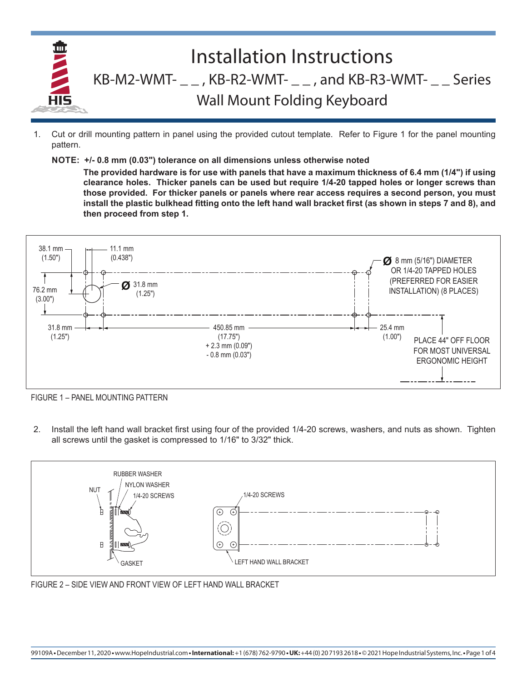

- 1. Cut or drill mounting pattern in panel using the provided cutout template. Refer to Figure 1 for the panel mounting pattern.
	- **NOTE: +/- 0.8 mm (0.03") tolerance on all dimensions unless otherwise noted**

**The provided hardware is for use with panels that have a maximum thickness of 6.4 mm (1/4") if using clearance holes. Thicker panels can be used but require 1/4-20 tapped holes or longer screws than those provided. For thicker panels or panels where rear access requires a second person, you must install the plastic bulkhead fitting onto the left hand wall bracket first (as shown in steps 7 and 8), and then proceed from step 1.**



FIGURE 1 – PANEL MOUNTING PATTERN

2. Install the left hand wall bracket first using four of the provided 1/4-20 screws, washers, and nuts as shown. Tighten all screws until the gasket is compressed to 1/16" to 3/32" thick.



FIGURE 2 – SIDE VIEW AND FRONT VIEW OF LEFT HAND WALL BRACKET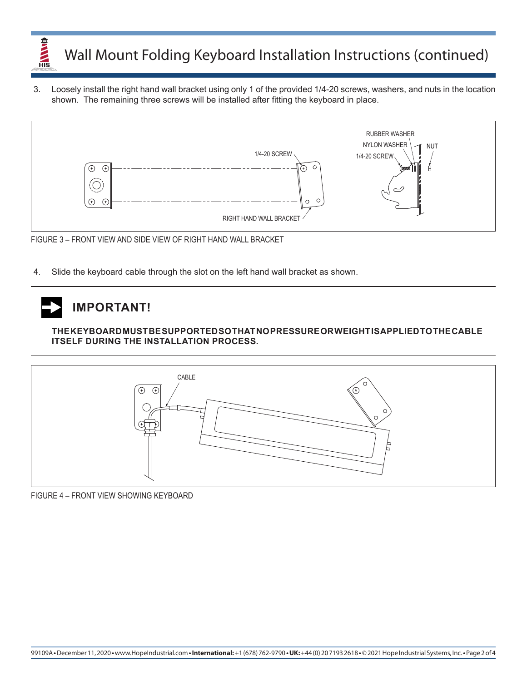

3. Loosely install the right hand wall bracket using only 1 of the provided 1/4-20 screws, washers, and nuts in the location shown. The remaining three screws will be installed after fitting the keyboard in place.



FIGURE 3 – FRONT VIEW AND SIDE VIEW OF RIGHT HAND WALL BRACKET

4. Slide the keyboard cable through the slot on the left hand wall bracket as shown.

## **IMPORTANT!**

**THE KEYBOARD MUST BE SUPPORTED SO THAT NO PRESSURE OR WEIGHT IS APPLIED TO THE CABLE ITSELF DURING THE INSTALLATION PROCESS.**



FIGURE 4 – FRONT VIEW SHOWING KEYBOARD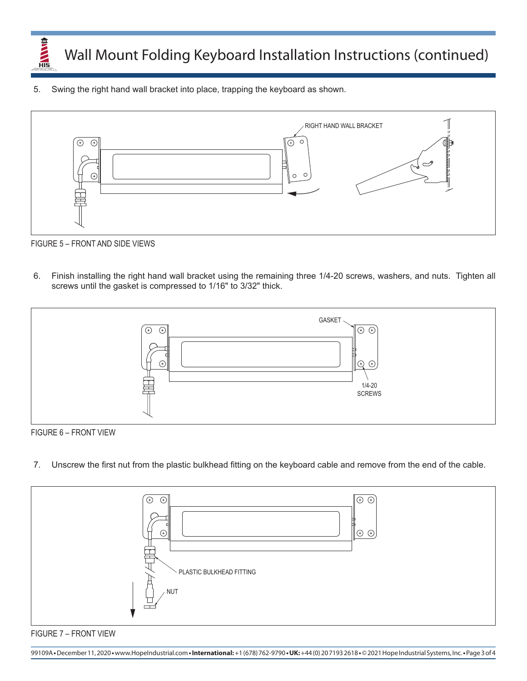

Wall Mount Folding Keyboard Installation Instructions (continued)

5. Swing the right hand wall bracket into place, trapping the keyboard as shown.



FIGURE 5 – FRONT AND SIDE VIEWS

6. Finish installing the right hand wall bracket using the remaining three 1/4-20 screws, washers, and nuts. Tighten all screws until the gasket is compressed to 1/16" to 3/32" thick.



FIGURE 6 – FRONT VIEW

7. Unscrew the first nut from the plastic bulkhead fitting on the keyboard cable and remove from the end of the cable.





99109A **•** December 11, 2020 **•** www.HopeIndustrial.com **•International:** +1 (678) 762-9790 **• UK:** +44 (0) 20 7193 2618 **•** © 2021 Hope Industrial Systems, Inc. **•** Page 3 of 4